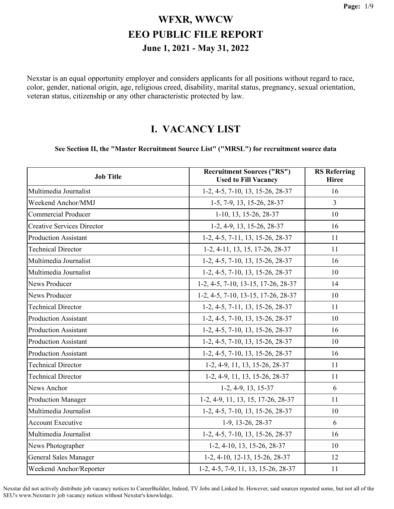Nexstar is an equal opportunity employer and considers applicants for all positions without regard to race, color, gender, national origin, age, religious creed, disability, marital status, pregnancy, sexual orientation, veteran status, citizenship or any other characteristic protected by law.

#### **I. VACANCY LIST**

#### **See Section II, the "Master Recruitment Source List" ("MRSL") for recruitment source data**

| <b>Job Title</b>                  | <b>Recruitment Sources ("RS")</b><br><b>Used to Fill Vacancy</b> | <b>RS</b> Referring<br><b>Hiree</b> |
|-----------------------------------|------------------------------------------------------------------|-------------------------------------|
| Multimedia Journalist             | 1-2, 4-5, 7-10, 13, 15-26, 28-37                                 | 16                                  |
| Weekend Anchor/MMJ                | 1-5, 7-9, 13, 15-26, 28-37                                       | 3                                   |
| <b>Commercial Producer</b>        | 1-10, 13, 15-26, 28-37                                           | 10                                  |
| <b>Creative Services Director</b> | 1-2, 4-9, 13, 15-26, 28-37                                       | 16                                  |
| <b>Production Assistant</b>       | 1-2, 4-5, 7-11, 13, 15-26, 28-37                                 | 11                                  |
| <b>Technical Director</b>         | 1-2, 4-11, 13, 15, 17-26, 28-37                                  | 11                                  |
| Multimedia Journalist             | 1-2, 4-5, 7-10, 13, 15-26, 28-37                                 | 16                                  |
| Multimedia Journalist             | 1-2, 4-5, 7-10, 13, 15-26, 28-37                                 | 10                                  |
| News Producer                     | 1-2, 4-5, 7-10, 13-15, 17-26, 28-37                              | 14                                  |
| <b>News Producer</b>              | 1-2, 4-5, 7-10, 13-15, 17-26, 28-37                              | 10                                  |
| <b>Technical Director</b>         | 1-2, 4-5, 7-11, 13, 15-26, 28-37                                 | 11                                  |
| <b>Production Assistant</b>       | 1-2, 4-5, 7-10, 13, 15-26, 28-37                                 | 10                                  |
| <b>Production Assistant</b>       | 1-2, 4-5, 7-10, 13, 15-26, 28-37                                 | 16                                  |
| <b>Production Assistant</b>       | 1-2, 4-5, 7-10, 13, 15-26, 28-37                                 | 10                                  |
| <b>Production Assistant</b>       | 1-2, 4-5, 7-10, 13, 15-26, 28-37                                 | 16                                  |
| <b>Technical Director</b>         | 1-2, 4-9, 11, 13, 15-26, 28-37                                   | 11                                  |
| <b>Technical Director</b>         | 1-2, 4-9, 11, 13, 15-26, 28-37                                   | 11                                  |
| News Anchor                       | 1-2, 4-9, 13, 15-37                                              | 6                                   |
| <b>Production Manager</b>         | 1-2, 4-9, 11, 13, 15, 17-26, 28-37                               | 11                                  |
| Multimedia Journalist             | 1-2, 4-5, 7-10, 13, 15-26, 28-37                                 | 10                                  |
| <b>Account Executive</b>          | 1-9, 13-26, 28-37                                                | 6                                   |
| Multimedia Journalist             | 1-2, 4-5, 7-10, 13, 15-26, 28-37                                 | 16                                  |
| News Photographer                 | 1-2, 4-10, 13, 15-26, 28-37                                      | 10                                  |
| <b>General Sales Manager</b>      | 1-2, 4-10, 12-13, 15-26, 28-37                                   | 12                                  |
| Weekend Anchor/Reporter           | 1-2, 4-5, 7-9, 11, 13, 15-26, 28-37                              | 11                                  |

Nexstar did not actively distribute job vacancy notices to CareerBuilder, Indeed, TV Jobs and Linked ln. However, said sources reposted some, but not all of the SEU's www.Nexstar.tv job vacancy notices without Nexstar's knowledge.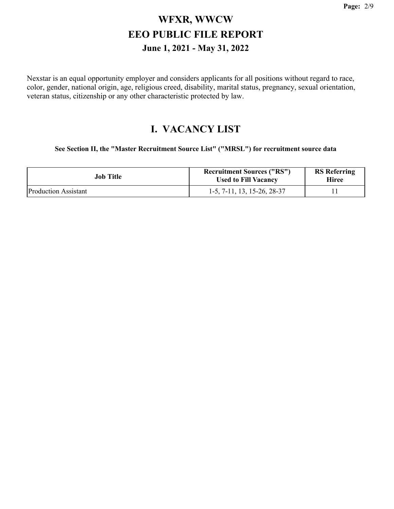Nexstar is an equal opportunity employer and considers applicants for all positions without regard to race, color, gender, national origin, age, religious creed, disability, marital status, pregnancy, sexual orientation, veteran status, citizenship or any other characteristic protected by law.

#### **I. VACANCY LIST**

**See Section II, the "Master Recruitment Source List" ("MRSL") for recruitment source data**

| Job Title                   | <b>Recruitment Sources ("RS")</b><br><b>Used to Fill Vacancy</b> | <b>RS</b> Referring<br>Hiree |
|-----------------------------|------------------------------------------------------------------|------------------------------|
| <b>Production Assistant</b> | 1-5, 7-11, 13, 15-26, 28-37                                      |                              |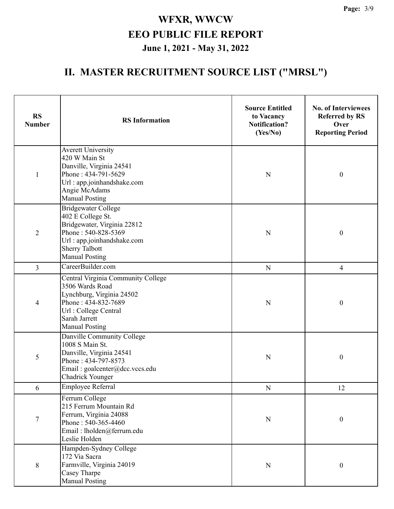| <b>RS</b><br><b>Number</b> | <b>RS</b> Information                                                                                                                                                                 | <b>Source Entitled</b><br>to Vacancy<br><b>Notification?</b><br>(Yes/No) | <b>No. of Interviewees</b><br><b>Referred by RS</b><br>Over<br><b>Reporting Period</b> |
|----------------------------|---------------------------------------------------------------------------------------------------------------------------------------------------------------------------------------|--------------------------------------------------------------------------|----------------------------------------------------------------------------------------|
| $\mathbf{1}$               | <b>Averett University</b><br>420 W Main St<br>Danville, Virginia 24541<br>Phone: 434-791-5629<br>Url: app.joinhandshake.com<br>Angie McAdams<br><b>Manual Posting</b>                 | N                                                                        | $\boldsymbol{0}$                                                                       |
| $\overline{2}$             | <b>Bridgewater College</b><br>402 E College St.<br>Bridgewater, Virginia 22812<br>Phone: 540-828-5369<br>Url: app.joinhandshake.com<br><b>Sherry Talbott</b><br><b>Manual Posting</b> | N                                                                        | $\boldsymbol{0}$                                                                       |
| $\overline{3}$             | CareerBuilder.com                                                                                                                                                                     | N                                                                        | $\overline{4}$                                                                         |
| 4                          | Central Virginia Community College<br>3506 Wards Road<br>Lynchburg, Virginia 24502<br>Phone: 434-832-7689<br>Url: College Central<br>Sarah Jarrett<br><b>Manual Posting</b>           | $\mathbf N$                                                              | $\boldsymbol{0}$                                                                       |
| 5                          | Danville Community College<br>1008 S Main St.<br>Danville, Virginia 24541<br>Phone: 434-797-8573<br>Email: goalcenter@dcc.vccs.edu<br>Chadrick Younger                                | N                                                                        | $\boldsymbol{0}$                                                                       |
| 6                          | Employee Referral                                                                                                                                                                     | $\mathbf N$                                                              | 12                                                                                     |
| $\boldsymbol{7}$           | Ferrum College<br>215 Ferrum Mountain Rd<br>Ferrum, Virginia 24088<br>Phone: 540-365-4460<br>Email: lholden@ferrum.edu<br>Leslie Holden                                               | ${\bf N}$                                                                | $\boldsymbol{0}$                                                                       |
| $\,8\,$                    | Hampden-Sydney College<br>172 Via Sacra<br>Farmville, Virginia 24019<br>Casey Tharpe<br><b>Manual Posting</b>                                                                         | $\mathbf N$                                                              | $\boldsymbol{0}$                                                                       |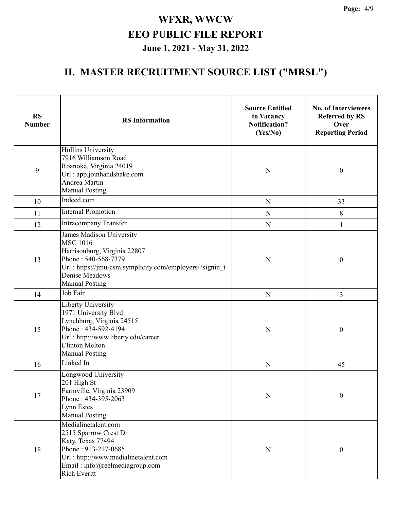| <b>RS</b><br><b>Number</b> | <b>RS</b> Information                                                                                                                                                                                    | <b>Source Entitled</b><br>to Vacancy<br><b>Notification?</b><br>(Yes/No) | <b>No. of Interviewees</b><br><b>Referred by RS</b><br>Over<br><b>Reporting Period</b> |
|----------------------------|----------------------------------------------------------------------------------------------------------------------------------------------------------------------------------------------------------|--------------------------------------------------------------------------|----------------------------------------------------------------------------------------|
| 9                          | Hollins University<br>7916 Williamson Road<br>Roanoke, Virginia 24019<br>Url: app.joinhandshake.com<br>Andrea Martin<br><b>Manual Posting</b>                                                            | $\mathbf N$                                                              | $\boldsymbol{0}$                                                                       |
| 10                         | Indeed.com                                                                                                                                                                                               | $\mathbf N$                                                              | 33                                                                                     |
| 11                         | <b>Internal Promotion</b>                                                                                                                                                                                | $\mathbf N$                                                              | 8                                                                                      |
| 12                         | <b>Intracompany Transfer</b>                                                                                                                                                                             | ${\bf N}$                                                                | $\mathbf{1}$                                                                           |
| 13                         | James Madison University<br><b>MSC 1016</b><br>Harrisonburg, Virginia 22807<br>Phone: 540-568-7379<br>Url: https://jmu-csm.symplicity.com/employers/?signin t<br>Denise Meadows<br><b>Manual Posting</b> |                                                                          | $\boldsymbol{0}$                                                                       |
| 14                         | Job Fair                                                                                                                                                                                                 | ${\bf N}$                                                                | 3                                                                                      |
| 15                         | Liberty University<br>1971 University Blvd<br>Lynchburg, Virginia 24515<br>Phone: 434-592-4194<br>Url: http://www.liberty.edu/career<br><b>Clinton Melton</b><br><b>Manual Posting</b>                   | $\mathbf N$                                                              | $\boldsymbol{0}$                                                                       |
| 16                         | Linked In                                                                                                                                                                                                | ${\bf N}$                                                                | 45                                                                                     |
| 17                         | Longwood University<br>201 High St<br>Farmville, Virginia 23909<br>Phone: 434-395-2063<br>Lynn Estes<br><b>Manual Posting</b>                                                                            | $\mathbf N$                                                              | $\boldsymbol{0}$                                                                       |
| 18                         | Medialinetalent.com<br>2515 Sparrow Crest Dr<br>Katy, Texas 77494<br>Phone: 913-217-0685<br>Url: http://www.medialinetalent.com<br>Email: info@reelmediagroup.com<br>Rich Everitt                        | $\mathbf N$                                                              | $\boldsymbol{0}$                                                                       |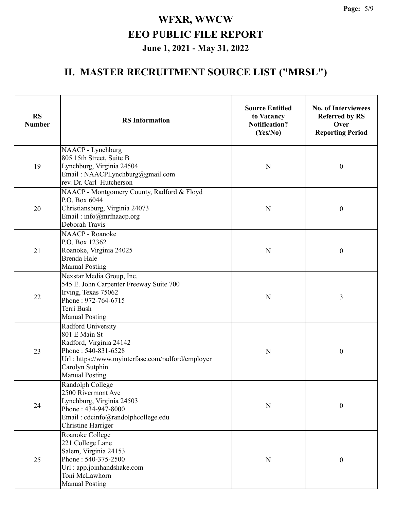| <b>RS</b><br><b>Number</b> | <b>RS</b> Information                                                                                                                                                                         | <b>Source Entitled</b><br>to Vacancy<br><b>Notification?</b><br>(Yes/No) | <b>No. of Interviewees</b><br><b>Referred by RS</b><br>Over<br><b>Reporting Period</b> |
|----------------------------|-----------------------------------------------------------------------------------------------------------------------------------------------------------------------------------------------|--------------------------------------------------------------------------|----------------------------------------------------------------------------------------|
| 19                         | NAACP - Lynchburg<br>805 15th Street, Suite B<br>Lynchburg, Virginia 24504<br>Email: NAACPLynchburg@gmail.com<br>rev. Dr. Carl Hutcherson                                                     | N                                                                        | $\boldsymbol{0}$                                                                       |
| 20                         | NAACP - Montgomery County, Radford & Floyd<br>P.O. Box 6044<br>Christiansburg, Virginia 24073<br>Email: info@mrfnaacp.org<br>Deborah Travis                                                   | $\mathbf N$                                                              | $\boldsymbol{0}$                                                                       |
| 21                         | <b>NAACP</b> - Roanoke<br>P.O. Box 12362<br>Roanoke, Virginia 24025<br><b>Brenda Hale</b><br><b>Manual Posting</b>                                                                            | N                                                                        | $\boldsymbol{0}$                                                                       |
| 22                         | Nexstar Media Group, Inc.<br>545 E. John Carpenter Freeway Suite 700<br>Irving, Texas 75062<br>Phone: 972-764-6715<br>Terri Bush<br><b>Manual Posting</b>                                     | N                                                                        | 3                                                                                      |
| 23                         | <b>Radford University</b><br>801 E Main St<br>Radford, Virginia 24142<br>Phone: 540-831-6528<br>Url: https://www.myinterfase.com/radford/employer<br>Carolyn Sutphin<br><b>Manual Posting</b> | N                                                                        | $\boldsymbol{0}$                                                                       |
| 24                         | Randolph College<br>2500 Rivermont Ave<br>Lynchburg, Virginia 24503<br>Phone: 434-947-8000<br>Email: cdcinfo@randolphcollege.edu<br><b>Christine Harriger</b>                                 | ${\bf N}$                                                                | $\boldsymbol{0}$                                                                       |
| 25                         | Roanoke College<br>221 College Lane<br>Salem, Virginia 24153<br>Phone: 540-375-2500<br>Url: app.joinhandshake.com<br>Toni McLawhorn<br><b>Manual Posting</b>                                  | $\mathbf N$                                                              | $\boldsymbol{0}$                                                                       |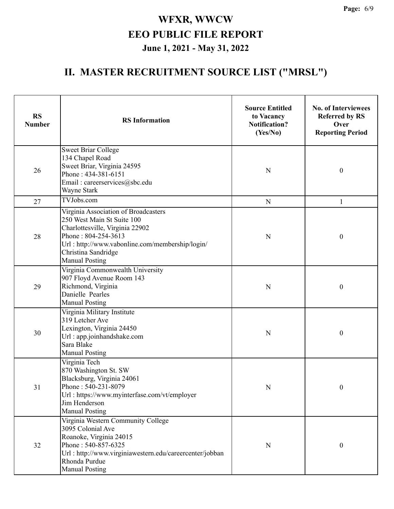| <b>RS</b><br><b>Number</b> | <b>RS</b> Information                                                                                                                                                                                                           | <b>Source Entitled</b><br>to Vacancy<br><b>Notification?</b><br>(Yes/No) | <b>No. of Interviewees</b><br><b>Referred by RS</b><br>Over<br><b>Reporting Period</b> |
|----------------------------|---------------------------------------------------------------------------------------------------------------------------------------------------------------------------------------------------------------------------------|--------------------------------------------------------------------------|----------------------------------------------------------------------------------------|
| 26                         | <b>Sweet Briar College</b><br>134 Chapel Road<br>Sweet Briar, Virginia 24595<br>Phone: 434-381-6151<br>Email: careerservices@sbc.edu<br>Wayne Stark                                                                             | N                                                                        | $\boldsymbol{0}$                                                                       |
| 27                         | TVJobs.com                                                                                                                                                                                                                      | ${\bf N}$                                                                | 1                                                                                      |
| 28                         | Virginia Association of Broadcasters<br>250 West Main St Suite 100<br>Charlottesville, Virginia 22902<br>Phone: 804-254-3613<br>Url: http://www.vabonline.com/membership/login/<br>Christina Sandridge<br><b>Manual Posting</b> | N                                                                        | $\boldsymbol{0}$                                                                       |
| 29                         | Virginia Commonwealth University<br>907 Floyd Avenue Room 143<br>Richmond, Virginia<br>Danielle Pearles<br><b>Manual Posting</b>                                                                                                | N                                                                        | $\boldsymbol{0}$                                                                       |
| 30                         | Virginia Military Institute<br>319 Letcher Ave<br>Lexington, Virginia 24450<br>Url: app.joinhandshake.com<br>Sara Blake<br><b>Manual Posting</b>                                                                                | N                                                                        | $\boldsymbol{0}$                                                                       |
| 31                         | Virginia Tech<br>870 Washington St. SW<br>Blacksburg, Virginia 24061<br>Phone: 540-231-8079<br>Url: https://www.myinterfase.com/vt/employer<br>Jim Henderson<br><b>Manual Posting</b>                                           | N                                                                        | 0                                                                                      |
| 32                         | Virginia Western Community College<br>3095 Colonial Ave<br>Roanoke, Virginia 24015<br>Phone: 540-857-6325<br>Url: http://www.virginiawestern.edu/careercenter/jobban<br>Rhonda Purdue<br><b>Manual Posting</b>                  | N                                                                        | $\boldsymbol{0}$                                                                       |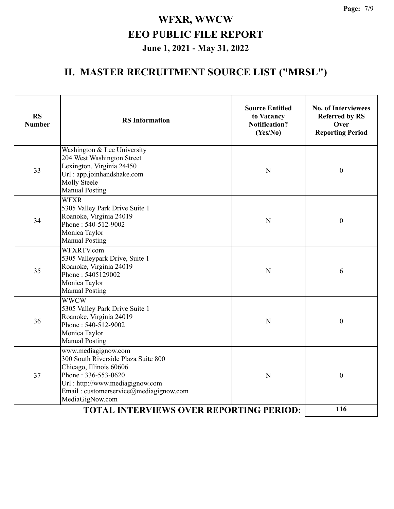| <b>RS</b><br><b>Number</b> | <b>RS</b> Information                                                                                                                                                                                        | <b>Source Entitled</b><br>to Vacancy<br><b>Notification?</b><br>(Yes/No) | <b>No. of Interviewees</b><br><b>Referred by RS</b><br>Over<br><b>Reporting Period</b> |  |
|----------------------------|--------------------------------------------------------------------------------------------------------------------------------------------------------------------------------------------------------------|--------------------------------------------------------------------------|----------------------------------------------------------------------------------------|--|
| 33                         | Washington & Lee University<br>204 West Washington Street<br>Lexington, Virginia 24450<br>Url: app.joinhandshake.com<br>Molly Steele<br><b>Manual Posting</b>                                                | $\mathbf N$                                                              | $\boldsymbol{0}$                                                                       |  |
| 34                         | <b>WFXR</b><br>5305 Valley Park Drive Suite 1<br>Roanoke, Virginia 24019<br>Phone: 540-512-9002<br>Monica Taylor<br><b>Manual Posting</b>                                                                    | ${\bf N}$                                                                | $\boldsymbol{0}$                                                                       |  |
| 35                         | WFXRTV.com<br>5305 Valleypark Drive, Suite 1<br>Roanoke, Virginia 24019<br>Phone: 5405129002<br>Monica Taylor<br><b>Manual Posting</b>                                                                       | N                                                                        | 6                                                                                      |  |
| 36                         | <b>WWCW</b><br>5305 Valley Park Drive Suite 1<br>Roanoke, Virginia 24019<br>Phone: 540-512-9002<br>Monica Taylor<br><b>Manual Posting</b>                                                                    | N                                                                        | $\boldsymbol{0}$                                                                       |  |
| 37                         | www.mediagignow.com<br>300 South Riverside Plaza Suite 800<br>Chicago, Illinois 60606<br>Phone: 336-553-0620<br>Url: http://www.mediagignow.com<br>Email: customerservice@mediagignow.com<br>MediaGigNow.com | N                                                                        | $\boldsymbol{0}$                                                                       |  |
|                            | 116                                                                                                                                                                                                          |                                                                          |                                                                                        |  |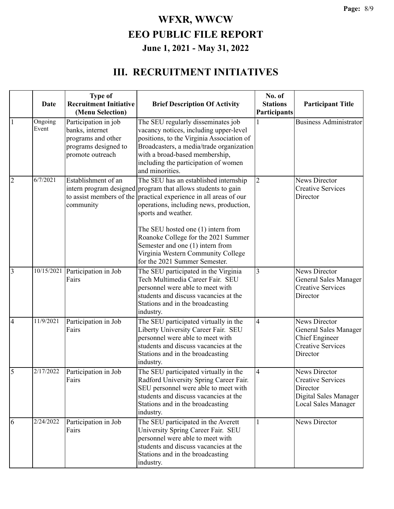#### **III. RECRUITMENT INITIATIVES**

|                | Date             | <b>Type of</b><br><b>Recruitment Initiative</b><br>(Menu Selection)                                       | <b>Brief Description Of Activity</b>                                                                                                                                                                                                                                                                                                                                                                                                 | No. of<br><b>Stations</b><br>Participants | <b>Participant Title</b>                                                                                              |
|----------------|------------------|-----------------------------------------------------------------------------------------------------------|--------------------------------------------------------------------------------------------------------------------------------------------------------------------------------------------------------------------------------------------------------------------------------------------------------------------------------------------------------------------------------------------------------------------------------------|-------------------------------------------|-----------------------------------------------------------------------------------------------------------------------|
| $\vert$ 1      | Ongoing<br>Event | Participation in job<br>banks, internet<br>programs and other<br>programs designed to<br>promote outreach | The SEU regularly disseminates job<br>vacancy notices, including upper-level<br>positions, to the Virginia Association of<br>Broadcasters, a media/trade organization<br>with a broad-based membership,<br>including the participation of women<br>and minorities.                                                                                                                                                                   |                                           | <b>Business Administrator</b>                                                                                         |
| $\overline{2}$ | 6/7/2021         | Establishment of an<br>community                                                                          | The SEU has an established internship<br>intern program designed program that allows students to gain<br>to assist members of the practical experience in all areas of our<br>operations, including news, production,<br>sports and weather.<br>The SEU hosted one (1) intern from<br>Roanoke College for the 2021 Summer<br>Semester and one (1) intern from<br>Virginia Western Community College<br>for the 2021 Summer Semester. | $\overline{2}$                            | <b>News Director</b><br><b>Creative Services</b><br>Director                                                          |
| $\overline{3}$ | 10/15/2021       | Participation in Job<br>Fairs                                                                             | The SEU participated in the Virginia<br>Tech Multimedia Career Fair. SEU<br>personnel were able to meet with<br>students and discuss vacancies at the<br>Stations and in the broadcasting<br>industry.                                                                                                                                                                                                                               | 3                                         | News Director<br>General Sales Manager<br><b>Creative Services</b><br>Director                                        |
| $\overline{4}$ | 11/9/2021        | Participation in Job<br>Fairs                                                                             | The SEU participated virtually in the<br>Liberty University Career Fair. SEU<br>personnel were able to meet with<br>students and discuss vacancies at the<br>Stations and in the broadcasting<br>industry.                                                                                                                                                                                                                           | 4                                         | <b>News Director</b><br><b>General Sales Manager</b><br><b>Chief Engineer</b><br><b>Creative Services</b><br>Director |
| $\overline{5}$ | 2/17/2022        | Participation in Job<br>Fairs                                                                             | The SEU participated virtually in the<br>Radford University Spring Career Fair.<br>SEU personnel were able to meet with<br>students and discuss vacancies at the<br>Stations and in the broadcasting<br>industry.                                                                                                                                                                                                                    | $\overline{4}$                            | News Director<br><b>Creative Services</b><br>Director<br>Digital Sales Manager<br>Local Sales Manager                 |
| $\overline{6}$ | 2/24/2022        | Participation in Job<br>Fairs                                                                             | The SEU participated in the Averett<br>University Spring Career Fair. SEU<br>personnel were able to meet with<br>students and discuss vacancies at the<br>Stations and in the broadcasting<br>industry.                                                                                                                                                                                                                              | 1                                         | News Director                                                                                                         |